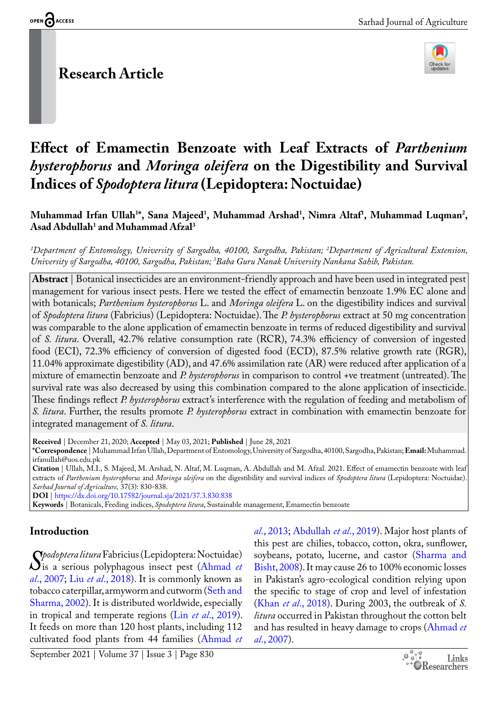# **Research Article**



# **Effect of Emamectin Benzoate with Leaf Extracts of** *Parthenium hysterophorus* **and** *Moringa oleifera* **on the Digestibility and Survival Indices of** *Spodoptera litura* **(Lepidoptera: Noctuidae)**

Muhammad Irfan Ullah<sup>1\*</sup>, Sana Majeed<sup>1</sup>, Muhammad Arshad<sup>1</sup>, Nimra Altaf<sup>1</sup>, Muhammad Luqman<sup>2</sup>, **Asad Abdullah1 and Muhammad Afzal3**

*1 Department of Entomology, University of Sargodha, 40100, Sargodha, Pakistan; 2 Department of Agricultural Extension, University of Sargodha, 40100, Sargodha, Pakistan; 3 Baba Guru Nanak University Nankana Sahib, Pakistan.*

**Abstract** | Botanical insecticides are an environment-friendly approach and have been used in integrated pest management for various insect pests. Here we tested the effect of emamectin benzoate 1.9% EC alone and with botanicals; *Parthenium hysterophorus* L. and *Moringa oleifera* L. on the digestibility indices and survival of *Spodoptera litura* (Fabricius) (Lepidoptera: Noctuidae). The *P. hysterophorus* extract at 50 mg concentration was comparable to the alone application of emamectin benzoate in terms of reduced digestibility and survival of *S. litura*. Overall, 42.7% relative consumption rate (RCR), 74.3% efficiency of conversion of ingested food (ECI), 72.3% efficiency of conversion of digested food (ECD), 87.5% relative growth rate (RGR), 11.04% approximate digestibility (AD), and 47.6% assimilation rate (AR) were reduced after application of a mixture of emamectin benzoate and *P. hysterophorus* in comparison to control +ve treatment (untreated). The survival rate was also decreased by using this combination compared to the alone application of insecticide. These findings reflect *P. hysterophorus* extract's interference with the regulation of feeding and metabolism of *S. litura*. Further, the results promote *P. hysterophorus* extract in combination with emamectin benzoate for integrated management of *S. litura*.

**Received** | December 21, 2020; **Accepted** | May 03, 2021; **Published** | June 28, 2021

**\*Correspondence** | Muhammad Irfan Ullah,Department of Entomology, University of Sargodha, 40100, Sargodha, Pakistan; **Email:** Muhammad. irfanullah@uos.edu.pk

**Citation** | Ullah, M.I., S. Majeed, M. Arshad, N. Altaf, M. Luqman, A. Abdullah and M. Afzal. 2021. Effect of emamectin benzoate with leaf extracts of *Parthenium hysterophorus* and *Moringa oleifera* on the digestibility and survival indices of *Spodoptera litura* (Lepidoptera: Noctuidae). *Sarhad Journal of Agriculture,* 37(3): 830-838.

**DOI** |<https://dx.doi.org/10.17582/journal.sja/2021/37.3.830.838>

**Keywords** | Botanicals, Feeding indices, *Spodoptera litura*, Sustainable management, Emamectin benzoate

## **Introduction**

*[S](#page-5-0)podoptera litura* Fabricius (Lepidoptera: Noctuidae)<br>is a serious polyphagous insect pest (Ahmad et al., 2007: Liu et al., 2018). It is commonly known as is a serious polyphagous insect pest ([Ahmad](#page-5-0) *et al*., 2007; Liu *et al*., 2018). It is commonly known as tobacco caterpillar, armyworm and cutworm ([Seth and](#page-7-0)  [Sharma, 2002\)](#page-7-0). It is distributed worldwide, especially in tropical and temperate regions (Lin *et al*[., 2019](#page-6-1)). It feeds on more than 120 host plants, including 112 cultivated food plants from 44 families [\(Ahmad](#page-5-1) *et* 

*al*[., 2013;](#page-5-1) [Abdullah](#page-5-2) *et al*., 2019). Major host plants of this pest are chilies, tobacco, cotton, okra, sunflower, soybeans, potato, lucerne, and castor ([Sharma and](#page-7-1)  [Bisht, 2008\)](#page-7-1). It may cause 26 to 100% economic losses in Pakistan's agro-ecological condition relying upon the specific to stage of crop and level of infestation (Khan *et al*[., 2018\)](#page-6-2). During 2003, the outbreak of *S. litura* occurred in Pakistan throughout the cotton belt and has resulted in heavy damage to crops ([Ahmad](#page-5-0) *et al*[., 2007](#page-5-0)).

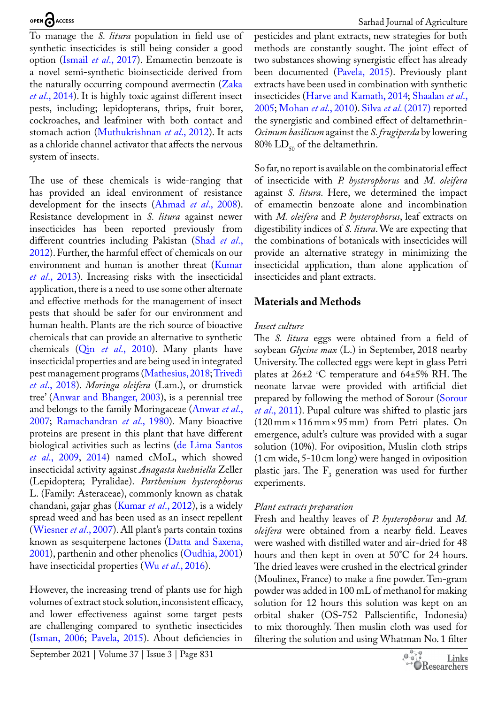To manage the *S. litura* population in field use of synthetic insecticides is still being consider a good option (Ismail *et al*[., 2017\)](#page-6-3). Emamectin benzoate is a novel semi-synthetic bioinsecticide derived from the naturally occurring compound avermectin [\(Zaka](#page-8-0)  *et al*[., 2014\)](#page-8-0). It is highly toxic against different insect pests, including; lepidopterans, thrips, fruit borer, cockroaches, and leafminer with both contact and stomach action ([Muthukrishnan](#page-7-2) *et al*., 2012). It acts as a chloride channel activator that affects the nervous system of insects.

The use of these chemicals is wide-ranging that has provided an ideal environment of resistance development for the insects [\(Ahmad](#page-5-3) *et al*., 2008). Resistance development in *S. litura* against newer insecticides has been reported previously from different countries including Pakistan ([Shad](#page-7-3) *et al*., [2012](#page-7-3)). Further, the harmful effect of chemicals on our environment and human is another threat ([Kumar](#page-6-4)  *et al*[., 2013](#page-6-4)). Increasing risks with the insecticidal application, there is a need to use some other alternate and effective methods for the management of insect pests that should be safer for our environment and human health. Plants are the rich source of bioactive chemicals that can provide an alternative to synthetic chemicals (Qin *et al*[., 2010](#page-7-4)). Many plants have insecticidal properties and are being used in integrated pest management programs ([Mathesius, 2018](#page-6-5); [Trivedi](#page-8-1)  *et al*[., 2018\)](#page-8-1). *Moringa oleifera* (Lam.), or drumstick tree' ([Anwar and Bhanger, 2003\)](#page-5-4), is a perennial tree and belongs to the family Moringaceae ([Anwar](#page-5-5) *et al*., [2007](#page-5-5); [Ramachandran](#page-7-5) *et al*., 1980). Many bioactive proteins are present in this plant that have different biological activities such as lectins ([de Lima Santos](#page-5-6)  *et al*[., 2009](#page-5-6), [2014](#page-5-6)) named cMoL, which showed insecticidal activity against *Anagasta kuehniella* Zeller (Lepidoptera; Pyralidae). *Parthenium hysterophorus* L. (Family: Asteraceae), commonly known as chatak chandani, gajar ghas ([Kumar](#page-6-6) *et al*., 2012), is a widely spread weed and has been used as an insect repellent ([Wiesner](#page-8-2) *et al*., 2007). All plant's parts contain toxins known as sesquiterpene lactones ([Datta and Saxena,](#page-5-7)  [2001](#page-5-7)), parthenin and other phenolics [\(Oudhia, 2001\)](#page-7-6) have insecticidal properties (Wu *et al*[., 2016](#page-8-3)).

However, the increasing trend of plants use for high volumes of extract stock solution, inconsistent efficacy, and lower effectiveness against some target pests are challenging compared to synthetic insecticides [\(Isman, 2006;](#page-6-7) [Pavela, 2015](#page-7-7)). About deficiencies in

September 2021 | Volume 37 | Issue 3 | Page 831

pesticides and plant extracts, new strategies for both methods are constantly sought. The joint effect of two substances showing synergistic effect has already been documented ([Pavela, 2015\)](#page-7-7). Previously plant extracts have been used in combination with synthetic insecticides ([Harve and Kamath, 2014;](#page-5-8) [Shaalan](#page-7-8) *et al*., [2005](#page-7-8); [Mohan](#page-7-9) *et al*., 2010). Silva *et al*[. \(2017\)](#page-7-10) reported the synergistic and combined effect of deltamethrin-*Ocimum basilicum* against the *S. frugiperda* by lowering 80%  $LD_{50}$  of the deltamethrin.

So far, no report is available on the combinatorial effect of insecticide with *P. hysterophorus* and *M. oleifera* against *S. litura*. Here, we determined the impact of emamectin benzoate alone and incombination with *M. oleifera* and *P. hysterophorus*, leaf extracts on digestibility indices of *S. litura*. We are expecting that the combinations of botanicals with insecticides will provide an alternative strategy in minimizing the insecticidal application, than alone application of insecticides and plant extracts.

## **Materials and Methods**

#### *Insect culture*

The *S. litura* eggs were obtained from a field of soybean *Glycine max* (L.) in September, 2018 nearby University. The collected eggs were kept in glass Petri plates at 26±2 °C temperature and 64±5% RH. The neonate larvae were provided with artificial diet prepared by following the method of Sorour ([Sorour](#page-7-11)  *et al*[., 2011](#page-7-11)). Pupal culture was shifted to plastic jars (120mm× 116mm× 95mm) from Petri plates. On emergence, adult's culture was provided with a sugar solution (10%). For oviposition, Muslin cloth strips (1cm wide, 5-10cm long) were hanged in oviposition plastic jars. The  $F_3$  generation was used for further experiments.

## *Plant extracts preparation*

Fresh and healthy leaves of *P. hysterophorus* and *M. oleifera* were obtained from a nearby field. Leaves were washed with distilled water and air-dried for 48 hours and then kept in oven at 50°C for 24 hours. The dried leaves were crushed in the electrical grinder (Moulinex, France) to make a fine powder. Ten-gram powder was added in 100 mL of methanol for making solution for 12 hours this solution was kept on an orbital shaker (OS-752 Pallscientific, Indonesia) to mix thoroughly. Then muslin cloth was used for filtering the solution and using Whatman No. 1 filter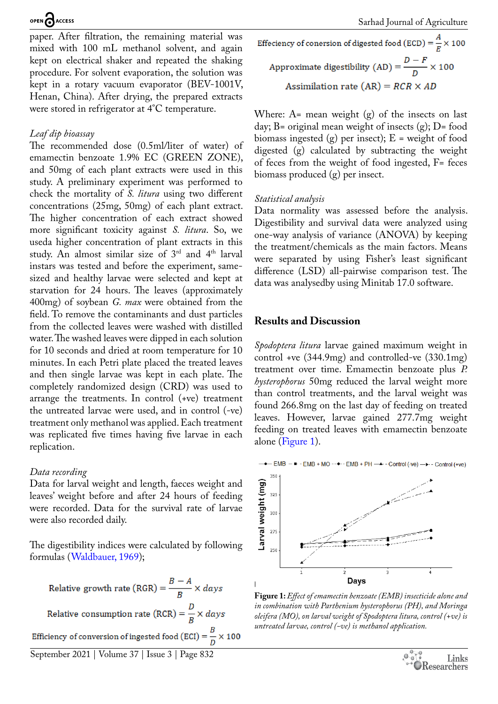paper. After filtration, the remaining material was mixed with 100 mL methanol solvent, and again kept on electrical shaker and repeated the shaking procedure. For solvent evaporation, the solution was kept in a rotary vacuum evaporator (BEV-1001V, Henan, China). After drying, the prepared extracts were stored in refrigerator at 4°C temperature.

#### *Leaf dip bioassay*

The recommended dose (0.5ml/liter of water) of emamectin benzoate 1.9% EC (GREEN ZONE), and 50mg of each plant extracts were used in this study. A preliminary experiment was performed to check the mortality of *S. litura* using two different concentrations (25mg, 50mg) of each plant extract. The higher concentration of each extract showed more significant toxicity against *S. litura*. So, we useda higher concentration of plant extracts in this study. An almost similar size of 3rd and 4th larval instars was tested and before the experiment, samesized and healthy larvae were selected and kept at starvation for 24 hours. The leaves (approximately 400mg) of soybean *G. max* were obtained from the field. To remove the contaminants and dust particles from the collected leaves were washed with distilled water. The washed leaves were dipped in each solution for 10 seconds and dried at room temperature for 10 minutes. In each Petri plate placed the treated leaves and then single larvae was kept in each plate. The completely randomized design (CRD) was used to arrange the treatments. In control (+ve) treatment the untreated larvae were used, and in control (-ve) treatment only methanol was applied. Each treatment was replicated five times having five larvae in each replication.

#### *Data recording*

Data for larval weight and length, faeces weight and leaves' weight before and after 24 hours of feeding were recorded. Data for the survival rate of larvae were also recorded daily.

The digestibility indices were calculated by following formulas ([Waldbauer, 1969](#page-8-4));

Relative growth rate (RGR) =  $\frac{B-A}{R} \times days$ Relative consumption rate (RCR) =  $\frac{D}{B} \times days$ Efficiency of conversion of ingested food (ECI) =  $\frac{B}{D} \times 100$  Effeciency of conersion of digested food (ECD) =  $\frac{A}{F} \times 100$ Approximate digestibility (AD) =  $\frac{D-F}{D} \times 100$ Assimilation rate  $(AR) = RCR \times AD$ 

Where:  $A =$  mean weight  $(g)$  of the insects on last day; B= original mean weight of insects  $(g)$ ; D= food biomass ingested  $(g)$  per insect);  $E =$  weight of food digested (g) calculated by subtracting the weight of feces from the weight of food ingested, F= feces biomass produced (g) per insect.

#### *Statistical analysis*

Data normality was assessed before the analysis. Digestibility and survival data were analyzed using one-way analysis of variance (ANOVA) by keeping the treatment/chemicals as the main factors. Means were separated by using Fisher's least significant difference (LSD) all-pairwise comparison test. The data was analysedby using Minitab 17.0 software.

#### **Results and Discussion**

*Spodoptera litura* larvae gained maximum weight in control +ve (344.9mg) and controlled-ve (330.1mg) treatment over time. Emamectin benzoate plus *P. hysterophorus* 50mg reduced the larval weight more than control treatments, and the larval weight was found 266.8mg on the last day of feeding on treated leaves. However, larvae gained 277.7mg weight feeding on treated leaves with emamectin benzoate alone ([Figure 1\)](#page-2-0).



<span id="page-2-0"></span>**Figure 1:** *Effect of emamectin benzoate (EMB) insecticide alone and in combination with Parthenium hysterophorus (PH), and Moringa oleifera (MO), on larval weight of Spodoptera litura, control (+ve) is untreated larvae, control (-ve) is methanol application.*

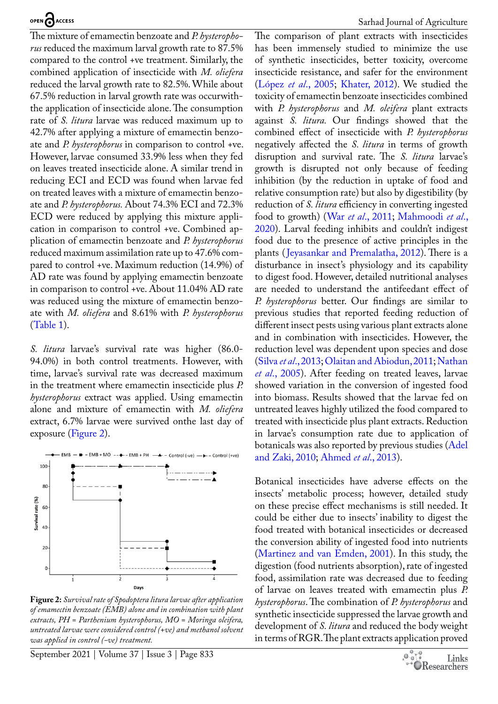The mixture of emamectin benzoate and *P. hysterophorus* reduced the maximum larval growth rate to 87.5% compared to the control +ve treatment. Similarly, the combined application of insecticide with *M. oliefera* reduced the larval growth rate to 82.5%. While about 67.5% reduction in larval growth rate was occurwiththe application of insecticide alone. The consumption rate of *S. litura* larvae was reduced maximum up to 42.7% after applying a mixture of emamectin benzoate and *P. hysterophorus* in comparison to control +ve. However, larvae consumed 33.9% less when they fed on leaves treated insecticide alone. A similar trend in reducing ECI and ECD was found when larvae fed on treated leaves with a mixture of emamectin benzoate and *P. hysterophorus.* About 74.3% ECI and 72.3% ECD were reduced by applying this mixture application in comparison to control +ve. Combined application of emamectin benzoate and *P. hysterophorus* reduced maximum assimilation rate up to 47.6% compared to control +ve. Maximum reduction (14.9%) of AD rate was found by applying emamectin benzoate in comparison to control +ve. About 11.04% AD rate was reduced using the mixture of emamectin benzoate with *M. oliefera* and 8.61% with *P. hysterophorus* ([Table 1\)](#page-4-0).

*S. litura* larvae's survival rate was higher (86.0- 94.0%) in both control treatments. However, with time, larvae's survival rate was decreased maximum in the treatment where emamectin insecticide plus *P. hysterophorus* extract was applied. Using emamectin alone and mixture of emamectin with *M. oliefera* extract, 6.7% larvae were survived onthe last day of exposure ([Figure 2\)](#page-3-0).



<span id="page-3-0"></span>**Figure 2:** *Survival rate of Spodoptera litura larvae after application of emamectin benzoate (EMB) alone and in combination with plant extracts, PH = Parthenium hysterophorus, MO = Moringa oleifera, untreated larvae were considered control (+ve) and methanol solvent was applied in control (-ve) treatment.*

September 2021 | Volume 37 | Issue 3 | Page 833

The comparison of plant extracts with insecticides has been immensely studied to minimize the use of synthetic insecticides, better toxicity, overcome insecticide resistance, and safer for the environment (López *et al*., 2005; [Khater, 2012](#page-6-8)). We studied the toxicity of emamectin benzoate insecticides combined with *P. hysterophorus* and *M. oleifera* plant extracts against *S. litura.* Our findings showed that the combined effect of insecticide with *P. hysterophorus*  negatively affected the *S. litura* in terms of growth disruption and survival rate. The *S. litura* larvae's growth is disrupted not only because of feeding inhibition (by the reduction in uptake of food and relative consumption rate) but also by digestibility (by reduction of *S. litura* efficiency in converting ingested food to growth) (War *et al*[., 2011](#page-8-5); [Mahmoodi](#page-6-9) *et al*., [2020\)](#page-6-9). Larval feeding inhibits and couldn't indigest food due to the presence of active principles in the plants ([Jeyasankar and Premalatha, 2012\)](#page-6-10). There is a disturbance in insect's physiology and its capability to digest food. However, detailed nutritional analyses are needed to understand the antifeedant effect of *P. hysterophorus* better. Our findings are similar to previous studies that reported feeding reduction of different insect pests using various plant extracts alone and in combination with insecticides. However, the reduction level was dependent upon species and dose (Silva *et al*[., 2013;](#page-7-12) [Olaitan and Abiodun, 2011](#page-7-13); [Nathan](#page-7-14) *et al*[., 2005](#page-7-14)). After feeding on treated leaves, larvae showed variation in the conversion of ingested food into biomass. Results showed that the larvae fed on untreated leaves highly utilized the food compared to treated with insecticide plus plant extracts. Reduction in larvae's consumption rate due to application of botanicals was also reported by previous studies [\(Adel](#page-5-9) [and Zaki, 2010;](#page-5-9) [Ahmed](#page-5-1) *et al*., 2013).

Botanical insecticides have adverse effects on the insects' metabolic process; however, detailed study on these precise effect mechanisms is still needed. It could be either due to insects' inability to digest the food treated with botanical insecticides or decreased the conversion ability of ingested food into nutrients ([Martinez and van Emden, 2001](#page-6-11)). In this study, the digestion (food nutrients absorption), rate of ingested food, assimilation rate was decreased due to feeding of larvae on leaves treated with emamectin plus *P. hysterophorus*. The combination of *P. hysterophorus* and synthetic insecticide suppressed the larvae growth and development of *S. litura* and reduced the body weight in terms of RGR. The plant extracts application proved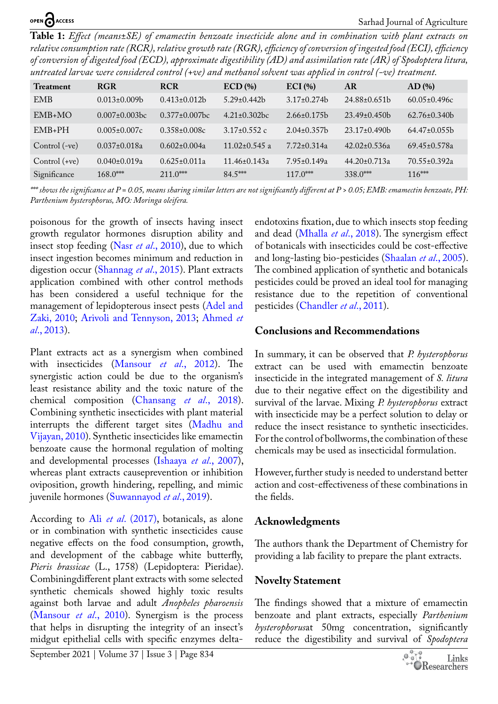<span id="page-4-0"></span>**Table 1:** *Effect (means±SE) of emamectin benzoate insecticide alone and in combination with plant extracts on relative consumption rate (RCR), relative growth rate (RGR), efficiency of conversion of ingested food (ECI), efficiency of conversion of digested food (ECD), approximate digestibility (AD) and assimilation rate (AR) of Spodoptera litura, untreated larvae were considered control (+ve) and methanol solvent was applied in control (-ve) treatment.*

|                  |                      |                      |                     | .                  |                    |                    |
|------------------|----------------------|----------------------|---------------------|--------------------|--------------------|--------------------|
| <b>Treatment</b> | <b>RGR</b>           | <b>RCR</b>           | $ECD$ (%)           | $ECI$ (%)          | <b>AR</b>          | AD(%)              |
| <b>EMB</b>       | $0.013 \pm 0.009 b$  | $0.413 \pm 0.012b$   | $5.29 \pm 0.442$    | $3.17\pm0.274$     | $24.88 \pm 0.651$  | $60.05 \pm 0.496c$ |
| $EMB+MO$         | $0.007 \pm 0.003$ bc | $0.377 \pm 0.007$ bc | $4.21 \pm 0.302$ bc | $2.66 \pm 0.175$   | $23.49 \pm 0.450$  | $62.76 \pm 0.340$  |
| $EMB+PH$         | $0.005 \pm 0.007c$   | $0.358 \pm 0.008c$   | $3.17 \pm 0.552$ c  | $2.04\pm0.357$ b   | $23.17\pm0.490$    | $64.47 \pm 0.055$  |
| Control (-ve)    | $0.037 \pm 0.018a$   | $0.602 \pm 0.004a$   | $11.02 \pm 0.545$ a | $7.72 \pm 0.314$ a | $42.02 \pm 0.536a$ | $69.45 \pm 0.578a$ |
| Control $(+ve)$  | $0.040 \pm 0.019a$   | $0.625 \pm 0.011a$   | $11.46 \pm 0.143a$  | $7.95 \pm 0.149$ a | $44.20 \pm 0.713a$ | $70.55 \pm 0.392a$ |
| Significance     | $168.0***$           | $211.0***$           | $84.5***$           | $117.0***$         | $338.0***$         | $116***$           |

*\*\*\* shows the significance at P = 0.05, means sharing similar letters are not significantly different at P > 0.05; EMB: emamectin benzoate, PH: Parthenium hysterophorus, MO: Moringa oleifera.*

poisonous for the growth of insects having insect growth regulator hormones disruption ability and insect stop feeding (Nasr *et al*[., 2010\)](#page-7-15), due to which insect ingestion becomes minimum and reduction in digestion occur ([Shannag](#page-7-16) *et al*., 2015). Plant extracts application combined with other control methods has been considered a useful technique for the management of lepidopterous insect pests [\(Adel and](#page-5-9)  [Zaki, 2010;](#page-5-9) [Arivoli and Tennyson, 2013](#page-5-10); [Ahmed](#page-5-1) *et al*[., 2013\)](#page-5-1).

Plant extracts act as a synergism when combined with insecticides [\(Mansour](#page-6-12) *et al*., 2012). The synergistic action could be due to the organism's least resistance ability and the toxic nature of the chemical composition ([Chansang](#page-5-11) *et al*., 2018). Combining synthetic insecticides with plant material interrupts the different target sites ([Madhu and](#page-6-13)  [Vijayan, 2010\)](#page-6-13). Synthetic insecticides like emamectin benzoate cause the hormonal regulation of molting and developmental processes ([Ishaaya](#page-6-14) *et al*., 2007), whereas plant extracts causeprevention or inhibition oviposition, growth hindering, repelling, and mimic juvenile hormones [\(Suwannayod](#page-8-6) *et al*., 2019).

According to Ali *et al*[. \(2017\)](#page-5-12), botanicals, as alone or in combination with synthetic insecticides cause negative effects on the food consumption, growth, and development of the cabbage white butterfly, *Pieris brassicae* (L., 1758) (Lepidoptera: Pieridae). Combiningdifferent plant extracts with some selected synthetic chemicals showed highly toxic results against both larvae and adult *Anopheles pharoensis*  ([Mansour](#page-6-15) *et al*., 2010). Synergism is the process that helps in disrupting the integrity of an insect's midgut epithelial cells with specific enzymes deltaendotoxins fixation, due to which insects stop feeding and dead [\(Mhalla](#page-7-17) *et al*., 2018). The synergism effect of botanicals with insecticides could be cost-effective and long-lasting bio-pesticides [\(Shaalan](#page-7-8) *et al*., 2005). The combined application of synthetic and botanicals pesticides could be proved an ideal tool for managing resistance due to the repetition of conventional pesticides [\(Chandler](#page-5-13) *et al*., 2011).

## **Conclusions and Recommendations**

In summary, it can be observed that *P. hysterophorus*  extract can be used with emamectin benzoate insecticide in the integrated management of *S. litura* due to their negative effect on the digestibility and survival of the larvae. Mixing *P. hysterophorus* extract with insecticide may be a perfect solution to delay or reduce the insect resistance to synthetic insecticides. For the control of bollworms, the combination of these chemicals may be used as insecticidal formulation.

However, further study is needed to understand better action and cost-effectiveness of these combinations in the fields.

## **Acknowledgments**

The authors thank the Department of Chemistry for providing a lab facility to prepare the plant extracts.

## **Novelty Statement**

The findings showed that a mixture of emamectin benzoate and plant extracts, especially *Parthenium hysterophorus*at 50mg concentration, significantly reduce the digestibility and survival of *Spodoptera* 

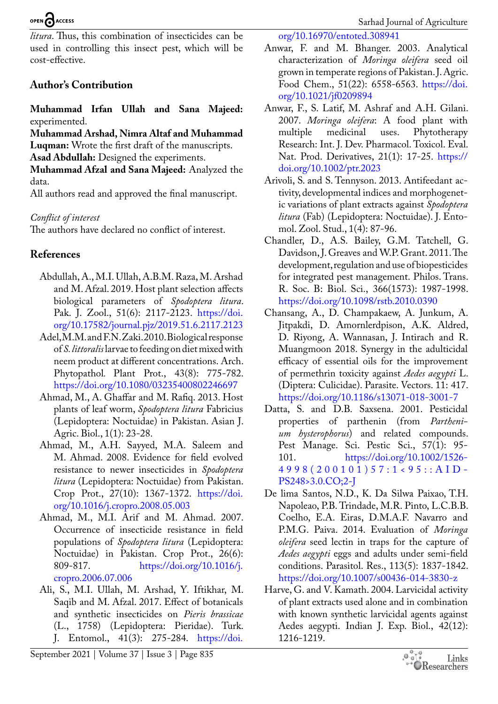# OPEN CACCESS

*litura*. Thus, this combination of insecticides can be used in controlling this insect pest, which will be cost-effective.

# **Author's Contribution**

**Muhammad Irfan Ullah and Sana Majeed:** experimented.

**Muhammad Arshad, Nimra Altaf and Muhammad Luqman:** Wrote the first draft of the manuscripts. **Asad Abdullah:** Designed the experiments.

**Muhammad Afzal and Sana Majeed:** Analyzed the data.

All authors read and approved the final manuscript.

# *Conflict of interest*

The authors have declared no conflict of interest.

# **References**

- <span id="page-5-2"></span>Abdullah, A., M.I. Ullah, A.B.M. Raza, M. Arshad and M. Afzal. 2019. Host plant selection affects biological parameters of *Spodoptera litura*. Pak. J. Zool., 51(6): 2117-2123. [https://doi.](https://doi.org/10.17582/journal.pjz/2019.51.6.2117.2123) [org/10.17582/journal.pjz/2019.51.6.2117.2123](https://doi.org/10.17582/journal.pjz/2019.51.6.2117.2123)
- <span id="page-5-9"></span>Adel, M.M. and F.N. Zaki. 2010. Biological response of *S. littoralis* larvae to feeding on diet mixed with neem product at different concentrations. Arch. Phytopathol*.* Plant Prot., 43(8): 775-782. <https://doi.org/10.1080/03235400802246697>
- <span id="page-5-1"></span>Ahmad, M., A. Ghaffar and M. Rafiq. 2013. Host plants of leaf worm, *Spodoptera litura* Fabricius (Lepidoptera: Noctuidae) in Pakistan. Asian J. Agric. Biol., 1(1): 23-28.
- <span id="page-5-3"></span>Ahmad, M., A.H. Sayyed, M.A. Saleem and M. Ahmad. 2008. Evidence for field evolved resistance to newer insecticides in *Spodoptera litura* (Lepidoptera: Noctuidae) from Pakistan. Crop Prot., 27(10): 1367-1372. [https://doi.](https://doi.org/10.1016/j.cropro.2008.05.003) [org/10.1016/j.cropro.2008.05.003](https://doi.org/10.1016/j.cropro.2008.05.003)
- <span id="page-5-0"></span>Ahmad, M., M.I. Arif and M. Ahmad. 2007. Occurrence of insecticide resistance in field populations of *Spodoptera litura* (Lepidoptera: Noctuidae) in Pakistan. Crop Prot., 26(6):<br>809-817. https://doi.org/10.1016/j. [https://doi.org/10.1016/j.](https://doi.org/10.1016/j.cropro.2006.07.006) [cropro.2006.07.006](https://doi.org/10.1016/j.cropro.2006.07.006)
- <span id="page-5-12"></span>Ali, S., M.I. Ullah, M. Arshad, Y. Iftikhar, M. Saqib and M. Afzal. 2017. Effect of botanicals and synthetic insecticides on *Pieris brassicae* (L., 1758) (Lepidoptera: Pieridae). Turk. J. Entomol., 41(3): 275-284. [https://doi.](https://doi.org/10.16970/entoted.308941)

[org/10.16970/entoted.308941](https://doi.org/10.16970/entoted.308941)

- <span id="page-5-4"></span>Anwar, F. and M. Bhanger. 2003. Analytical characterization of *Moringa oleifera* seed oil grown in temperate regions of Pakistan. J. Agric. Food Chem., 51(22): 6558-6563. [https://doi.](https://doi.org/10.1021/jf0209894) [org/10.1021/jf0209894](https://doi.org/10.1021/jf0209894)
- <span id="page-5-5"></span>Anwar, F., S. Latif, M. Ashraf and A.H. Gilani. 2007. *Moringa oleifera*: A food plant with Phytotherapy Research: Int. J. Dev. Pharmacol. Toxicol. Eval. Nat. Prod. Derivatives, 21(1): 17-25. [https://](https://doi.org/10.1002/ptr.2023) [doi.org/10.1002/ptr.2023](https://doi.org/10.1002/ptr.2023)
- <span id="page-5-10"></span>Arivoli, S. and S. Tennyson. 2013. Antifeedant activity, developmental indices and morphogenetic variations of plant extracts against *Spodoptera litura* (Fab) (Lepidoptera: Noctuidae). J. Entomol. Zool. Stud., 1(4): 87-96.
- <span id="page-5-13"></span>Chandler, D., A.S. Bailey, G.M. Tatchell, G. Davidson, J. Greaves and W.P. Grant. 2011. The development, regulation and use of biopesticides for integrated pest management. Philos. Trans. R. Soc. B: Biol. Sci., 366(1573): 1987-1998. <https://doi.org/10.1098/rstb.2010.0390>
- <span id="page-5-11"></span>Chansang, A., D. Champakaew, A. Junkum, A. Jitpakdi, D. Amornlerdpison, A.K. Aldred, D. Riyong, A. Wannasan, J. Intirach and R. Muangmoon 2018. Synergy in the adulticidal efficacy of essential oils for the improvement of permethrin toxicity against *Aedes aegypti* L. (Diptera: Culicidae). Parasite. Vectors. 11: 417. <https://doi.org/10.1186/s13071-018-3001-7>
- <span id="page-5-7"></span>Datta, S. and D.B. Saxsena. 2001. Pesticidal properties of parthenin (from *Parthenium hysterophorus*) and related compounds. Pest Manage. Sci. Pestic Sci., 57(1): 95- 101. [https://doi.org/10.1002/1526-](https://doi.org/10.1002/1526-4998(200101)57:1%3C95::AID-PS248%3E3.0.CO;2-J) [4998\(200101\)57:1<95::AID-](https://doi.org/10.1002/1526-4998(200101)57:1%3C95::AID-PS248%3E3.0.CO;2-J)[PS248>3.0.CO;2-J](https://doi.org/10.1002/1526-4998(200101)57:1%3C95::AID-PS248%3E3.0.CO;2-J)
- <span id="page-5-6"></span>De lima Santos, N.D., K. Da Silwa Paixao, T.H. Napoleao, P.B. Trindade, M.R. Pinto, L.C.B.B. Coelho, E.A. Eiras, D.M.A.F. Navarro and P.M.G. Paiva. 2014. Evaluation of *Moringa oleifera* seed lectin in traps for the capture of *Aedes aegypti* eggs and adults under semi-field conditions. Parasitol. Res., 113(5): 1837-1842. <https://doi.org/10.1007/s00436-014-3830-z>
- <span id="page-5-8"></span>Harve, G. and V. Kamath. 2004. Larvicidal activity of plant extracts used alone and in combination with known synthetic larvicidal agents against Aedes aegypti. Indian J. Exp. Biol., 42(12): 1216-1219.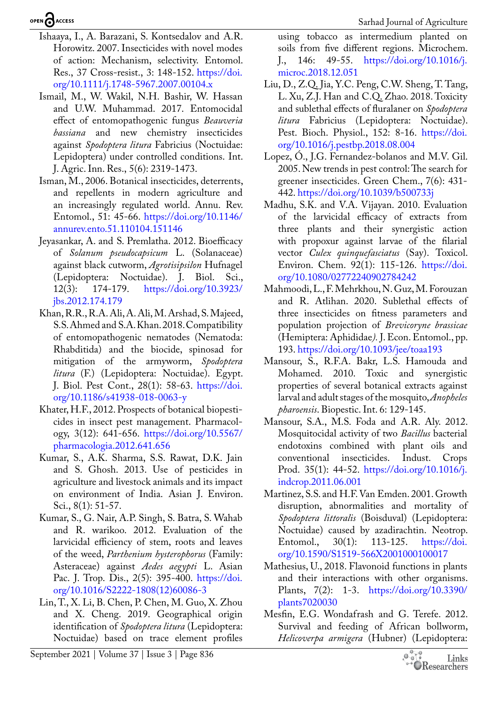OPEN CACCESS

- <span id="page-6-14"></span>Ishaaya, I., A. Barazani, S. Kontsedalov and A.R. Horowitz. 2007. Insecticides with novel modes of action: Mechanism, selectivity. Entomol. Res., 37 Cross-resist., 3: 148-152. [https://doi.](https://doi.org/10.1111/j.1748-5967.2007.00104.x) [org/10.1111/j.1748-5967.2007.00104.x](https://doi.org/10.1111/j.1748-5967.2007.00104.x)
- <span id="page-6-3"></span>Ismail, M., W. Wakil, N.H. Bashir, W. Hassan and U.W. Muhammad. 2017. Entomocidal effect of entomopathogenic fungus *Beauveria bassiana* and new chemistry insecticides against *Spodoptera litura* Fabricius (Noctuidae: Lepidoptera) under controlled conditions. Int. J. Agric. Inn. Res., 5(6): 2319-1473.
- <span id="page-6-7"></span>Isman, M., 2006. Botanical insecticides, deterrents, and repellents in modern agriculture and an increasingly regulated world. Annu. Rev. Entomol., 51: 45-66. [https://doi.org/10.1146/](https://doi.org/10.1146/annurev.ento.51.110104.151146) [annurev.ento.51.110104.151146](https://doi.org/10.1146/annurev.ento.51.110104.151146)
- <span id="page-6-10"></span>Jeyasankar, A. and S. Premlatha. 2012. Bioefficacy of *Solanum pseudocapsicum* L. (Solanaceae) against black cutworm, *Agrotisipsilon* Hufnagel (Lepidoptera: Noctuidae). J. Biol. Sci., 12(3): 174-179. [https://doi.org/10.3923/](https://doi.org/10.3923/jbs.2012.174.179) [jbs.2012.174.179](https://doi.org/10.3923/jbs.2012.174.179)
- <span id="page-6-2"></span>Khan, R.R., R.A. Ali, A. Ali, M. Arshad, S. Majeed, S.S. Ahmed and S.A. Khan. 2018. Compatibility of entomopathogenic nematodes (Nematoda: Rhabditida) and the biocide, spinosad for mitigation of the armyworm, *Spodoptera litura* (F.) (Lepidoptera: Noctuidae). Egypt. J. Biol. Pest Cont., 28(1): 58-63. [https://doi.](https://doi.org/10.1186/s41938-018-0063-y) [org/10.1186/s41938-018-0063-y](https://doi.org/10.1186/s41938-018-0063-y)
- <span id="page-6-8"></span>Khater, H.F., 2012. Prospects of botanical biopesticides in insect pest management. Pharmacology, 3(12): 641-656. [https://doi.org/10.5567/](https://doi.org/10.5567/pharmacologia.2012.641.656) [pharmacologia.2012.641.656](https://doi.org/10.5567/pharmacologia.2012.641.656)
- <span id="page-6-4"></span>Kumar, S., A.K. Sharma, S.S. Rawat, D.K. Jain and S. Ghosh. 2013. Use of pesticides in agriculture and livestock animals and its impact on environment of India. Asian J. Environ. Sci., 8(1): 51-57.
- <span id="page-6-6"></span>Kumar, S., G. Nair, A.P. Singh, S. Batra, S. Wahab and R. warikoo. 2012. Evaluation of the larvicidal efficiency of stem, roots and leaves of the weed, *Parthenium hysterophorus* (Family: Asteraceae) against *Aedes aegypti* L. Asian Pac. J. Trop. Dis., 2(5): 395-400. [https://doi.](https://doi.org/10.1016/S2222-1808(12)60086-3) [org/10.1016/S2222-1808\(12\)60086-3](https://doi.org/10.1016/S2222-1808(12)60086-3)
- <span id="page-6-1"></span>Lin, T., X. Li, B. Chen, P. Chen, M. Guo, X. Zhou and X. Cheng. 2019. Geographical origin identification of *Spodoptera litura* (Lepidoptera: Noctuidae) based on trace element profiles

using tobacco as intermedium planted on soils from five different regions. Microchem. J., 146: 49-55. [https://doi.org/10.1016/j.](https://doi.org/10.1016/j.microc.2018.12.051) [microc.2018.12.051](https://doi.org/10.1016/j.microc.2018.12.051)

- <span id="page-6-0"></span>Liu, D., Z.Q. Jia, Y.C. Peng, C.W. Sheng, T. Tang, L. Xu, Z.J. Han and C.Q. Zhao. 2018. Toxicity and sublethal effects of fluralaner on *Spodoptera litura* Fabricius (Lepidoptera: Noctuidae). Pest. Bioch. Physiol., 152: 8-16. [https://doi.](https://doi.org/10.1016/j.pestbp.2018.08.004) [org/10.1016/j.pestbp.2018.08.004](https://doi.org/10.1016/j.pestbp.2018.08.004)
- Lopez, Ó., J.G. Fernandez-bolanos and M.V. Gil. 2005. New trends in pest control: The search for greener insecticides. Green Chem., 7(6): 431- 442. <https://doi.org/10.1039/b500733j>
- <span id="page-6-13"></span>Madhu, S.K. and V.A. Vijayan. 2010. Evaluation of the larvicidal efficacy of extracts from three plants and their synergistic action with propoxur against larvae of the filarial vector *Culex quinquefasciatus* (Say). Toxicol. Environ. Chem. 92(1): 115-126. [https://doi.](https://doi.org/10.1080/02772240902784242) [org/10.1080/02772240902784242](https://doi.org/10.1080/02772240902784242)
- <span id="page-6-9"></span>Mahmoodi, L., F. Mehrkhou, N. Guz, M. Forouzan and R. Atlihan. 2020. Sublethal effects of three insecticides on fitness parameters and population projection of *Brevicoryne brassicae* (Hemiptera: Aphididae*).* J. Econ. Entomol., pp. 193. <https://doi.org/10.1093/jee/toaa193>
- <span id="page-6-15"></span>Mansour, S., R.F.A. Bakr, L.S. Hamouda and Mohamed. 2010. Toxic and synergistic properties of several botanical extracts against larval and adult stages of the mosquito, *Anopheles pharoensis*. Biopestic. Int. 6: 129-145.
- <span id="page-6-12"></span>Mansour, S.A., M.S. Foda and A.R. Aly. 2012. Mosquitocidal activity of two *Bacillus* bacterial endotoxins combined with plant oils and conventional insecticides. Indust. Crops Prod. 35(1): 44-52. [https://doi.org/10.1016/j.](https://doi.org/10.1016/j.indcrop.2011.06.001) [indcrop.2011.06.001](https://doi.org/10.1016/j.indcrop.2011.06.001)
- <span id="page-6-11"></span>Martinez, S.S. and H.F. Van Emden. 2001. Growth disruption, abnormalities and mortality of *Spodoptera littoralis* (Boisduval) (Lepidoptera: Noctuidae) caused by azadirachtin. Neotrop. Entomol., 30(1): 113-125. [https://doi.](https://doi.org/10.1590/S1519-566X2001000100017) [org/10.1590/S1519-566X2001000100017](https://doi.org/10.1590/S1519-566X2001000100017)
- <span id="page-6-5"></span>Mathesius, U., 2018. Flavonoid functions in plants and their interactions with other organisms. Plants, 7(2): 1-3. [https://doi.org/10.3390/](https://doi.org/10.3390/plants7020030) [plants7020030](https://doi.org/10.3390/plants7020030)
- Mesfin, E.G. Wondafrash and G. Terefe. 2012. Survival and feeding of African bollworm, *Helicoverpa armigera* (Hubner) (Lepidoptera:

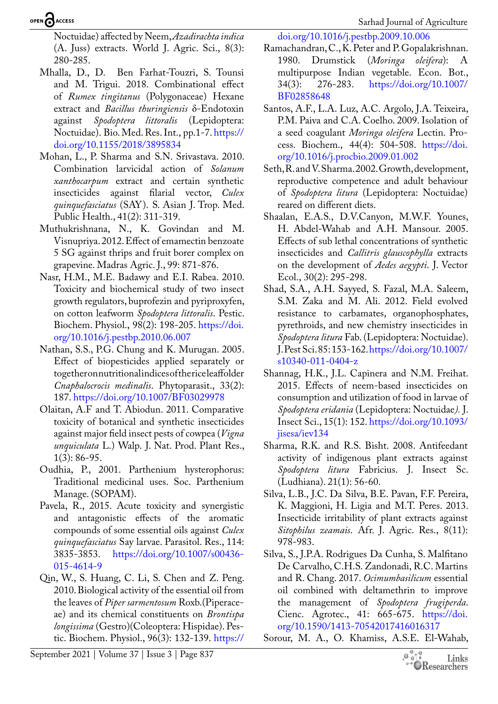Sarhad Journal of Agriculture

#### Noctuidae) affected by Neem, *Azadirachta indica* (A. Juss) extracts. World J. Agric. Sci., 8(3): 280-285.

- <span id="page-7-17"></span>Mhalla, D., D. Ben Farhat-Touzri, S. Tounsi and M. Trigui. 2018. Combinational effect of *Rumex tingitanus* (Polygonaceae) Hexane extract and *Bacillus thuringiensis* δ-Endotoxin against *Spodoptera littoralis* (Lepidoptera: Noctuidae). Bio. Med. Res. Int., pp.1-7. [https://](https://doi.org/10.1155/2018/3895834) [doi.org/10.1155/2018/3895834](https://doi.org/10.1155/2018/3895834)
- <span id="page-7-9"></span>Mohan, L., P. Sharma and S.N. Srivastava. 2010. Combination larvicidal action of *Solanum xanthocarpum* extract and certain synthetic insecticides against filarial vector, *Culex quinquefasciatus* (SAY). S. Asian J. Trop. Med. Public Health., 41(2): 311-319.
- <span id="page-7-2"></span>Muthukrishnana, N., K. Govindan and M. Visnupriya. 2012. Effect of emamectin benzoate 5 SG against thrips and fruit borer complex on grapevine. Madras Agric. J., 99: 871-876.
- <span id="page-7-15"></span>Nasr, H.M., M.E. Badawy and E.I. Rabea. 2010. Toxicity and biochemical study of two insect growth regulators, buprofezin and pyriproxyfen, on cotton leafworm *Spodoptera littoralis*. Pestic. Biochem. Physiol., 98(2): 198-205. [https://doi.](https://doi.org/10.1016/j.pestbp.2010.06.007) [org/10.1016/j.pestbp.2010.06.007](https://doi.org/10.1016/j.pestbp.2010.06.007)
- <span id="page-7-14"></span>Nathan, S.S., P.G. Chung and K. Murugan. 2005. Effect of biopesticides applied separately or together on nutritional indices of the rice leaffolder *Cnaphalocrocis medinalis*. Phytoparasit., 33(2): 187. <https://doi.org/10.1007/BF03029978>
- <span id="page-7-13"></span>Olaitan, A.F and T. Abiodun. 2011. Comparative toxicity of botanical and synthetic insecticides against major field insect pests of cowpea (*Vigna unquiculata* L.) Walp. J. Nat. Prod. Plant Res., 1(3): 86-95.
- <span id="page-7-6"></span>Oudhia, P., 2001. Parthenium hysterophorus: Traditional medicinal uses. Soc. Parthenium Manage. (SOPAM).
- <span id="page-7-7"></span>Pavela, R., 2015. Acute toxicity and synergistic and antagonistic effects of the aromatic compounds of some essential oils against *Culex quinquefasciatus* Say larvae. Parasitol. Res., 114: 3835-3853. [https://doi.org/10.1007/s00436-](https://doi.org/10.1007/s00436-015-4614-9) [015-4614-9](https://doi.org/10.1007/s00436-015-4614-9)
- <span id="page-7-4"></span>Qin, W., S. Huang, C. Li, S. Chen and Z. Peng. 2010. Biological activity of the essential oil from the leaves of *Piper sarmentosum* Roxb.(Piperaceae) and its chemical constituents on *Brontispa longissima* (Gestro)(Coleoptera: Hispidae). Pestic. Biochem. Physiol., 96(3): 132-139. [https://](https://doi.org/10.1016/j.pestbp.2009.10.006)

<span id="page-7-5"></span>[doi.org/10.1016/j.pestbp.2009.10.006](https://doi.org/10.1016/j.pestbp.2009.10.006)

- Ramachandran, C., K. Peter and P. Gopalakrishnan. 1980. Drumstick (*Moringa oleifera*): A multipurpose Indian vegetable. Econ. Bot., 34(3): 276-283. [https://doi.org/10.1007/](https://doi.org/10.1007/BF02858648) [BF02858648](https://doi.org/10.1007/BF02858648)
- Santos, A.F., L.A. Luz, A.C. Argolo, J.A. Teixeira, P.M. Paiva and C.A. Coelho. 2009. Isolation of a seed coagulant *Moringa oleifera* Lectin. Process. Biochem., 44(4): 504-508. [https://doi.](https://doi.org/10.1016/j.procbio.2009.01.002) [org/10.1016/j.procbio.2009.01.002](https://doi.org/10.1016/j.procbio.2009.01.002)
- <span id="page-7-0"></span>Seth, R. and V. Sharma. 2002. Growth, development, reproductive competence and adult behaviour of *Spodoptera litura* (Lepidoptera: Noctuidae) reared on different diets.
- <span id="page-7-8"></span>Shaalan, E.A.S., D.V.Canyon, M.W.F. Younes, H. Abdel-Wahab and A.H. Mansour. 2005. Effects of sub lethal concentrations of synthetic insecticides and *Callitris glauscophylla* extracts on the development of *Aedes aegypti*. J. Vector Ecol., 30(2): 295-298.
- <span id="page-7-3"></span>Shad, S.A., A.H. Sayyed, S. Fazal, M.A. Saleem, S.M. Zaka and M. Ali. 2012. Field evolved resistance to carbamates, organophosphates, pyrethroids, and new chemistry insecticides in *Spodoptera litura* Fab. (Lepidoptera: Noctuidae). J. Pest Sci. 85: 153-162. [https://doi.org/10.1007/](https://doi.org/10.1007/s10340-011-0404-z) [s10340-011-0404-z](https://doi.org/10.1007/s10340-011-0404-z)
- <span id="page-7-16"></span>Shannag, H.K., J.L. Capinera and N.M. Freihat. 2015. Effects of neem-based insecticides on consumption and utilization of food in larvae of *Spodoptera eridania* (Lepidoptera: Noctuidae*).* J. Insect Sci., 15(1): 152. [https://doi.org/10.1093/](https://doi.org/10.1093/jisesa/iev134) [jisesa/iev134](https://doi.org/10.1093/jisesa/iev134)
- <span id="page-7-1"></span>Sharma, R.K. and R.S. Bisht. 2008. Antifeedant activity of indigenous plant extracts against *Spodoptera litura* Fabricius. J. Insect Sc. (Ludhiana). 21(1): 56-60.
- <span id="page-7-12"></span>Silva, L.B., J.C. Da Silva, B.E. Pavan, F.F. Pereira, K. Maggioni, H. Ligia and M.T. Peres. 2013. Insecticide irritability of plant extracts against *Sitophilus zeamais*. Afr. J. Agric. Res., 8(11): 978-983.
- <span id="page-7-10"></span>Silva, S., J.P.A. Rodrigues Da Cunha, S. Malfitano De Carvalho, C.H.S. Zandonadi, R.C. Martins and R. Chang. 2017. *Ocimumbasilicum* essential oil combined with deltamethrin to improve the management of *Spodoptera frugiperda*. Cienc. Agrotec., 41: 665-675. [https://doi.](https://doi.org/10.1590/1413-70542017416016317) [org/10.1590/1413-70542017416016317](https://doi.org/10.1590/1413-70542017416016317)
- <span id="page-7-11"></span>Sorour, M. A., O. Khamiss, A.S.E. El-Wahab,

September 2021 | Volume 37 | Issue 3 | Page 837